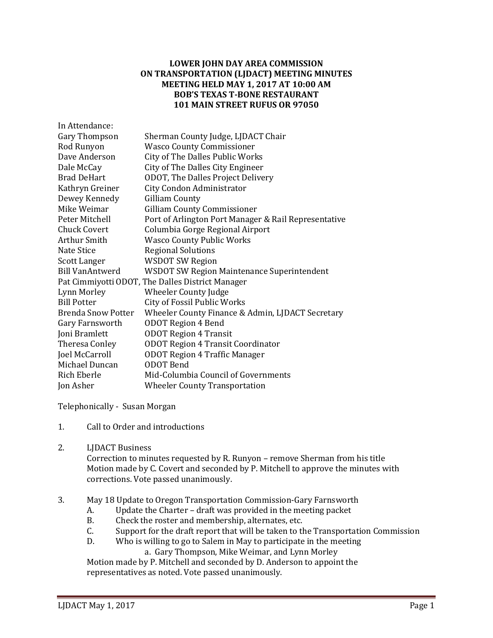## **LOWER JOHN DAY AREA COMMISSION ON TRANSPORTATION (LJDACT) MEETING MINUTES MEETING HELD MAY 1, 2017 AT 10:00 AM BOB'S TEXAS T-BONE RESTAURANT 101 MAIN STREET RUFUS OR 97050**

| Sherman County Judge, LJDACT Chair                   |
|------------------------------------------------------|
| <b>Wasco County Commissioner</b>                     |
| <b>City of The Dalles Public Works</b>               |
| City of The Dalles City Engineer                     |
| ODOT, The Dalles Project Delivery                    |
| City Condon Administrator                            |
| <b>Gilliam County</b>                                |
| <b>Gilliam County Commissioner</b>                   |
| Port of Arlington Port Manager & Rail Representative |
| Columbia Gorge Regional Airport                      |
| <b>Wasco County Public Works</b>                     |
| <b>Regional Solutions</b>                            |
| <b>WSDOT SW Region</b>                               |
| WSDOT SW Region Maintenance Superintendent           |
| Pat Cimmiyotti ODOT, The Dalles District Manager     |
| Wheeler County Judge                                 |
| City of Fossil Public Works                          |
| Wheeler County Finance & Admin, LJDACT Secretary     |
| <b>ODOT Region 4 Bend</b>                            |
| <b>ODOT Region 4 Transit</b>                         |
| <b>ODOT Region 4 Transit Coordinator</b>             |
| <b>ODOT Region 4 Traffic Manager</b>                 |
| <b>ODOT</b> Bend                                     |
| Mid-Columbia Council of Governments                  |
| <b>Wheeler County Transportation</b>                 |
|                                                      |

Telephonically - Susan Morgan

- 1. Call to Order and introductions
- 2. LJDACT Business

Correction to minutes requested by R. Runyon – remove Sherman from his title Motion made by C. Covert and seconded by P. Mitchell to approve the minutes with corrections. Vote passed unanimously.

- 3. May 18 Update to Oregon Transportation Commission-Gary Farnsworth
	- A. Update the Charter draft was provided in the meeting packet B. Check the roster and membership, alternates, etc.
	- B. Check the roster and membership, alternates, etc.<br>C. Support for the draft report that will be taken to the
	- C. Support for the draft report that will be taken to the Transportation Commission<br>D. Who is willing to go to Salem in May to participate in the meeting
		- Who is willing to go to Salem in May to participate in the meeting

a. Gary Thompson, Mike Weimar, and Lynn Morley

Motion made by P. Mitchell and seconded by D. Anderson to appoint the representatives as noted. Vote passed unanimously.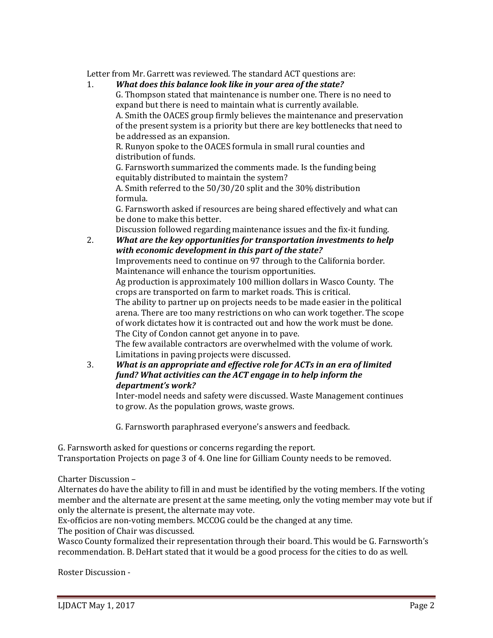Letter from Mr. Garrett was reviewed. The standard ACT questions are:<br>1. **What does this balance look like in your area of the state?** 

## 1. *What does this balance look like in your area of the state?*

G. Thompson stated that maintenance is number one. There is no need to expand but there is need to maintain what is currently available. A. Smith the OACES group firmly believes the maintenance and preservation of the present system is a priority but there are key bottlenecks that need to be addressed as an expansion.

R. Runyon spoke to the OACES formula in small rural counties and distribution of funds.

G. Farnsworth summarized the comments made. Is the funding being equitably distributed to maintain the system?

A. Smith referred to the 50/30/20 split and the 30% distribution formula.

G. Farnsworth asked if resources are being shared effectively and what can be done to make this better.

Discussion followed regarding maintenance issues and the fix-it funding.

2. *What are the key opportunities for transportation investments to help with economic development in this part of the state?*

Improvements need to continue on 97 through to the California border. Maintenance will enhance the tourism opportunities.

Ag production is approximately 100 million dollars in Wasco County. The crops are transported on farm to market roads. This is critical.

The ability to partner up on projects needs to be made easier in the political arena. There are too many restrictions on who can work together. The scope of work dictates how it is contracted out and how the work must be done. The City of Condon cannot get anyone in to pave.

The few available contractors are overwhelmed with the volume of work. Limitations in paving projects were discussed.

3. *What is an appropriate and effective role for ACTs in an era of limited fund? What activities can the ACT engage in to help inform the department's work?*

Inter-model needs and safety were discussed. Waste Management continues to grow. As the population grows, waste grows.

G. Farnsworth paraphrased everyone's answers and feedback.

G. Farnsworth asked for questions or concerns regarding the report.

Transportation Projects on page 3 of 4. One line for Gilliam County needs to be removed.

Charter Discussion –

Alternates do have the ability to fill in and must be identified by the voting members. If the voting member and the alternate are present at the same meeting, only the voting member may vote but if only the alternate is present, the alternate may vote.

Ex-officios are non-voting members. MCCOG could be the changed at any time.

The position of Chair was discussed.

Wasco County formalized their representation through their board. This would be G. Farnsworth's recommendation. B. DeHart stated that it would be a good process for the cities to do as well.

Roster Discussion -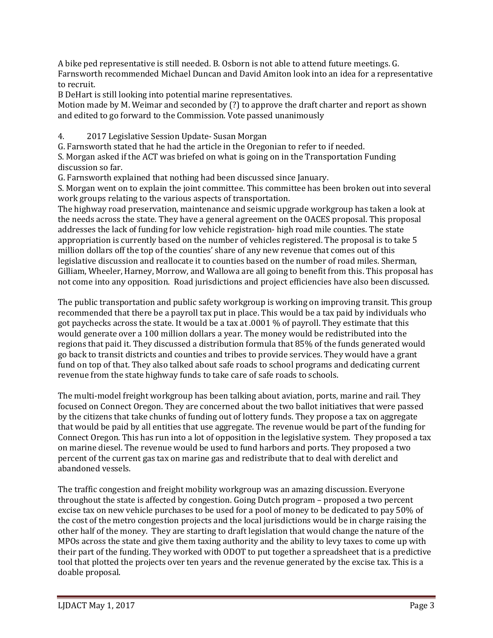A bike ped representative is still needed. B. Osborn is not able to attend future meetings. G. Farnsworth recommended Michael Duncan and David Amiton look into an idea for a representative to recruit.

B DeHart is still looking into potential marine representatives.

Motion made by M. Weimar and seconded by (?) to approve the draft charter and report as shown and edited to go forward to the Commission. Vote passed unanimously

4. 2017 Legislative Session Update- Susan Morgan

G. Farnsworth stated that he had the article in the Oregonian to refer to if needed.

S. Morgan asked if the ACT was briefed on what is going on in the Transportation Funding discussion so far.

G. Farnsworth explained that nothing had been discussed since January.

S. Morgan went on to explain the joint committee. This committee has been broken out into several work groups relating to the various aspects of transportation.

The highway road preservation, maintenance and seismic upgrade workgroup has taken a look at the needs across the state. They have a general agreement on the OACES proposal. This proposal addresses the lack of funding for low vehicle registration- high road mile counties. The state appropriation is currently based on the number of vehicles registered. The proposal is to take 5 million dollars off the top of the counties' share of any new revenue that comes out of this legislative discussion and reallocate it to counties based on the number of road miles. Sherman, Gilliam, Wheeler, Harney, Morrow, and Wallowa are all going to benefit from this. This proposal has not come into any opposition. Road jurisdictions and project efficiencies have also been discussed.

The public transportation and public safety workgroup is working on improving transit. This group recommended that there be a payroll tax put in place. This would be a tax paid by individuals who got paychecks across the state. It would be a tax at .0001 % of payroll. They estimate that this would generate over a 100 million dollars a year. The money would be redistributed into the regions that paid it. They discussed a distribution formula that 85% of the funds generated would go back to transit districts and counties and tribes to provide services. They would have a grant fund on top of that. They also talked about safe roads to school programs and dedicating current revenue from the state highway funds to take care of safe roads to schools.

The multi-model freight workgroup has been talking about aviation, ports, marine and rail. They focused on Connect Oregon. They are concerned about the two ballot initiatives that were passed by the citizens that take chunks of funding out of lottery funds. They propose a tax on aggregate that would be paid by all entities that use aggregate. The revenue would be part of the funding for Connect Oregon. This has run into a lot of opposition in the legislative system. They proposed a tax on marine diesel. The revenue would be used to fund harbors and ports. They proposed a two percent of the current gas tax on marine gas and redistribute that to deal with derelict and abandoned vessels.

The traffic congestion and freight mobility workgroup was an amazing discussion. Everyone throughout the state is affected by congestion. Going Dutch program – proposed a two percent excise tax on new vehicle purchases to be used for a pool of money to be dedicated to pay 50% of the cost of the metro congestion projects and the local jurisdictions would be in charge raising the other half of the money. They are starting to draft legislation that would change the nature of the MPOs across the state and give them taxing authority and the ability to levy taxes to come up with their part of the funding. They worked with ODOT to put together a spreadsheet that is a predictive tool that plotted the projects over ten years and the revenue generated by the excise tax. This is a doable proposal.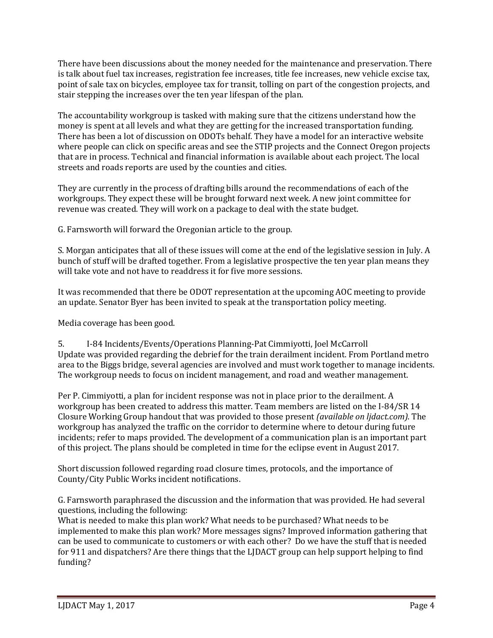There have been discussions about the money needed for the maintenance and preservation. There is talk about fuel tax increases, registration fee increases, title fee increases, new vehicle excise tax, point of sale tax on bicycles, employee tax for transit, tolling on part of the congestion projects, and stair stepping the increases over the ten year lifespan of the plan.

The accountability workgroup is tasked with making sure that the citizens understand how the money is spent at all levels and what they are getting for the increased transportation funding. There has been a lot of discussion on ODOTs behalf. They have a model for an interactive website where people can click on specific areas and see the STIP projects and the Connect Oregon projects that are in process. Technical and financial information is available about each project. The local streets and roads reports are used by the counties and cities.

They are currently in the process of drafting bills around the recommendations of each of the workgroups. They expect these will be brought forward next week. A new joint committee for revenue was created. They will work on a package to deal with the state budget.

G. Farnsworth will forward the Oregonian article to the group.

S. Morgan anticipates that all of these issues will come at the end of the legislative session in July. A bunch of stuff will be drafted together. From a legislative prospective the ten year plan means they will take vote and not have to readdress it for five more sessions.

It was recommended that there be ODOT representation at the upcoming AOC meeting to provide an update. Senator Byer has been invited to speak at the transportation policy meeting.

Media coverage has been good.

5. I-84 Incidents/Events/Operations Planning-Pat Cimmiyotti, Joel McCarroll Update was provided regarding the debrief for the train derailment incident. From Portland metro area to the Biggs bridge, several agencies are involved and must work together to manage incidents. The workgroup needs to focus on incident management, and road and weather management.

Per P. Cimmiyotti, a plan for incident response was not in place prior to the derailment. A workgroup has been created to address this matter. Team members are listed on the I-84/SR 14 Closure Working Group handout that was provided to those present *(available on ljdact.com)*. The workgroup has analyzed the traffic on the corridor to determine where to detour during future incidents; refer to maps provided. The development of a communication plan is an important part of this project. The plans should be completed in time for the eclipse event in August 2017.

Short discussion followed regarding road closure times, protocols, and the importance of County/City Public Works incident notifications.

G. Farnsworth paraphrased the discussion and the information that was provided. He had several questions, including the following:

What is needed to make this plan work? What needs to be purchased? What needs to be implemented to make this plan work? More messages signs? Improved information gathering that can be used to communicate to customers or with each other? Do we have the stuff that is needed for 911 and dispatchers? Are there things that the LJDACT group can help support helping to find funding?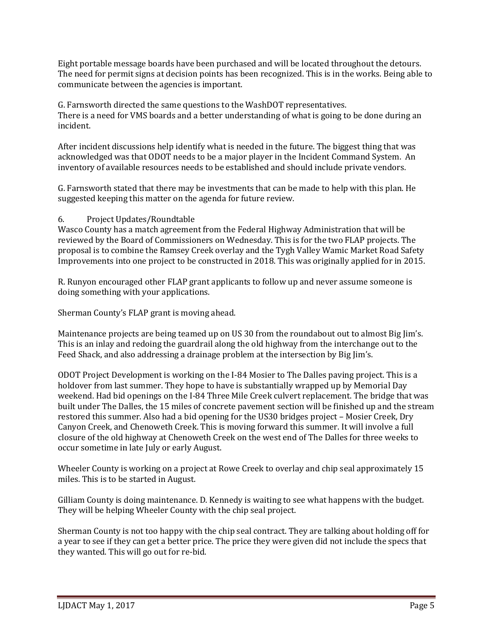Eight portable message boards have been purchased and will be located throughout the detours. The need for permit signs at decision points has been recognized. This is in the works. Being able to communicate between the agencies is important.

G. Farnsworth directed the same questions to the WashDOT representatives. There is a need for VMS boards and a better understanding of what is going to be done during an incident.

After incident discussions help identify what is needed in the future. The biggest thing that was acknowledged was that ODOT needs to be a major player in the Incident Command System. An inventory of available resources needs to be established and should include private vendors.

G. Farnsworth stated that there may be investments that can be made to help with this plan. He suggested keeping this matter on the agenda for future review.

## 6. Project Updates/Roundtable

Wasco County has a match agreement from the Federal Highway Administration that will be reviewed by the Board of Commissioners on Wednesday. This is for the two FLAP projects. The proposal is to combine the Ramsey Creek overlay and the Tygh Valley Wamic Market Road Safety Improvements into one project to be constructed in 2018. This was originally applied for in 2015.

R. Runyon encouraged other FLAP grant applicants to follow up and never assume someone is doing something with your applications.

Sherman County's FLAP grant is moving ahead.

Maintenance projects are being teamed up on US 30 from the roundabout out to almost Big Jim's. This is an inlay and redoing the guardrail along the old highway from the interchange out to the Feed Shack, and also addressing a drainage problem at the intersection by Big Jim's.

ODOT Project Development is working on the I-84 Mosier to The Dalles paving project. This is a holdover from last summer. They hope to have is substantially wrapped up by Memorial Day weekend. Had bid openings on the I-84 Three Mile Creek culvert replacement. The bridge that was built under The Dalles, the 15 miles of concrete pavement section will be finished up and the stream restored this summer. Also had a bid opening for the US30 bridges project – Mosier Creek, Dry Canyon Creek, and Chenoweth Creek. This is moving forward this summer. It will involve a full closure of the old highway at Chenoweth Creek on the west end of The Dalles for three weeks to occur sometime in late July or early August.

Wheeler County is working on a project at Rowe Creek to overlay and chip seal approximately 15 miles. This is to be started in August.

Gilliam County is doing maintenance. D. Kennedy is waiting to see what happens with the budget. They will be helping Wheeler County with the chip seal project.

Sherman County is not too happy with the chip seal contract. They are talking about holding off for a year to see if they can get a better price. The price they were given did not include the specs that they wanted. This will go out for re-bid.